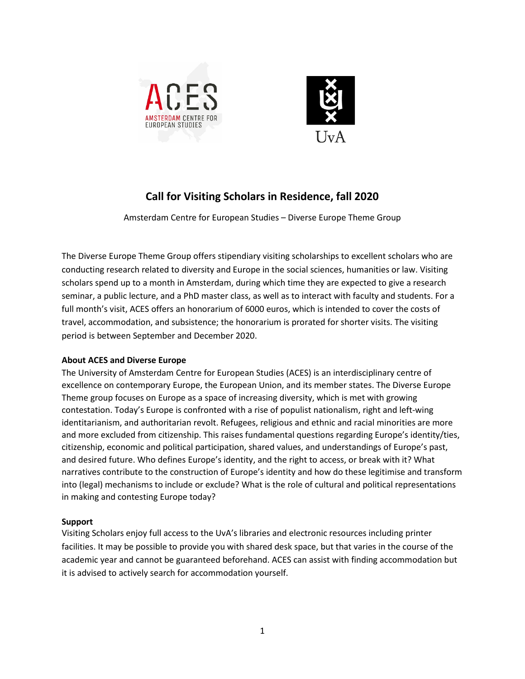



# **Call for Visiting Scholars in Residence, fall 2020**

Amsterdam Centre for European Studies – Diverse Europe Theme Group

The Diverse Europe Theme Group offers stipendiary visiting scholarships to excellent scholars who are conducting research related to diversity and Europe in the social sciences, humanities or law. Visiting scholars spend up to a month in Amsterdam, during which time they are expected to give a research seminar, a public lecture, and a PhD master class, as well as to interact with faculty and students. For a full month's visit, ACES offers an honorarium of 6000 euros, which is intended to cover the costs of travel, accommodation, and subsistence; the honorarium is prorated for shorter visits. The visiting period is between September and December 2020.

# **About ACES and Diverse Europe**

The University of Amsterdam Centre for European Studies (ACES) is an interdisciplinary centre of excellence on contemporary Europe, the European Union, and its member states. The Diverse Europe Theme group focuses on Europe as a space of increasing diversity, which is met with growing contestation. Today's Europe is confronted with a rise of populist nationalism, right and left-wing identitarianism, and authoritarian revolt. Refugees, religious and ethnic and racial minorities are more and more excluded from citizenship. This raises fundamental questions regarding Europe's identity/ties, citizenship, economic and political participation, shared values, and understandings of Europe's past, and desired future. Who defines Europe's identity, and the right to access, or break with it? What narratives contribute to the construction of Europe's identity and how do these legitimise and transform into (legal) mechanisms to include or exclude? What is the role of cultural and political representations in making and contesting Europe today?

# **Support**

Visiting Scholars enjoy full access to the UvA's libraries and electronic resources including printer facilities. It may be possible to provide you with shared desk space, but that varies in the course of the academic year and cannot be guaranteed beforehand. ACES can assist with finding accommodation but it is advised to actively search for accommodation yourself.